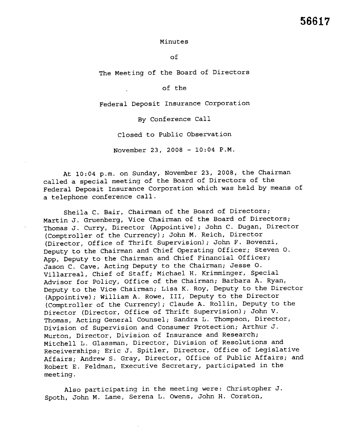## Minutes

of

The Meet ing of the Board of Directors

of the

Federal Deposit Insurance Corporation

By Conference Call

Closed to Public Observation

November 23, 2008 - 10: 04 P.M.

At 10:04 p.m. on Sunday, November 23, 2008, the Chairman called a special meeting of the Board of Directors of the Federal Deposit Insurance Corporation which was held by means of a telephone conference call.

Sheila C. Bair, Chairman of the Board of Directors; Martin J. Gruenberg, Vice Chairman of the Board of Directors; Thomas J. Curry, Director (Appointive); John C. Dugan, Director (Comptroller of the Currency); John M. Reich, Director (Director, Office of Thrift Supervision); John F. Bovenzi, Deputy to the Chairman and Chief Operating Officer; Steven o. App, Deputy to the Chairman and Chief Financial Officer; Jason C. Cave, Acting Deputy to the Chairman; Jesse o. Villarreal, Chief of Staff; Michael H. Krimminger, Special Advisor for Policy, Office of the Chairman; Barbara A. Ryan, Deputy to the Vice Chairman; Lisa K. Roy, Deputy to the Director (Appointive); William A. Rowe, III, Deputy to the Director (Comptroller of the Currency); Claude A. Rollin, Deputy to the Director (Director, Office of Thrift Supervision); John V. Thomas, Acting General Counsel; Sandra L. Thompson, Director, Division of Supervision and Consumer Protection; Arthur J. Murton, Director, Division of Insurance and Research; Mitchell L. Glassman, Director, Division of Resolutions and Receiverships; Eric J. Spitler, Director, Office of Legislative Affairs; Andrew S. Gray, Director, Office of Public Affairs; and Robert E. Feldman, Executive Secretary, participated in the meeting.

Also participating in the meeting were: Christopher J. Spoth, John M. Lane, Serena L. Owens, John H. Corston,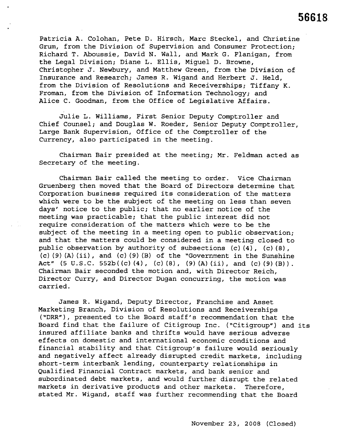Patricia A. Colohan, Pete D. Hirsch, Marc Steckel, and Christine Grum, from the Division of Supervision and Consumer Protection; Richard T. Aboussie, David N. Wall, and Mark G. Flanigan, from the Legal Division; Diane L. Ellis, Miguel D. Browne, Christopher J. Newbury, and Matthew Green, from the Division of Insurance and Research; James R. Wigand and Herbert J. Held, from the Division of Resolutions and Receiverships; Tiffany K. Froman, from the Division of Information Technology; and Alice C. Goodman, from the Office of Legislative Affairs.

Julie L. Williams, First Senior Deputy Comptroller and Chief Counsel; and Douglas W. Roeder, Senior Deputy Comptroller, Large Bank Supervision, Office of the Comptroller of the Currency, also participated in the meeting.

Chairman Bair presided at the meeting; Mr. Feldman acted as Secretary of the meeting.

Chairman Bair called the meeting to order. Vice Chairman Gruenberg then moved that the Board of Directors determine that Corporation business required its consideration of the matters which were to be the subject of the meeting on less than seven days' notice to the public; that no earlier notice of the meeting was practicable; that the public interest did not require consideration of the matters which were to be the subject of the meeting in a meeting open to public observation; and that the matters could be considered in a meeting closed to public observation by authority of subsections (c) (4), (c) (B) ,  $(c)$  (9) (A) (ii), and (c) (9) (B) of the "Government in the Sunshine Act"  $(5 \text{ U.S.C. } 552b((c)(4), (c)(8), (9)(A)(ii), and (c)(9)(B)).$ Chairman Bair seconded the motion and, with Director Reich, Director Curry, and Director Dugan concurring, the motion was carried.

James R. Wigand, Deputy Director, Franchise and Asset Marketing Branch, Division of Resolutions and Receiverships ("DRR"), presented to the Board staff's recommendation that the Board find that the failure of Citigroup Inc. ("Citigroup") and its insured affiliate banks and thrifts would have serious adverse effects on domestic and international economic conditions and financial stability and that Citigroup's failure would seriously and negatively affect already disrupted credit markets, including short-term interbank lending, counterparty relationships in Qualified Financial Contract markets, and bank senior and subordinated debt markets, and would further disrupt the related markets in derivative products and other markets. Therefore, stated Mr. Wigand, staff was further recommending that the Board

November 23, 200B (Closed)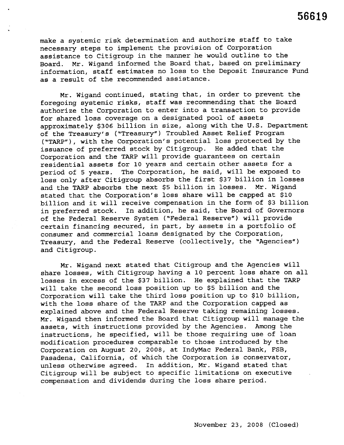make a systemic risk determination and authorize staff to take necessary steps to implement the provision of Corporation assistance to Citigroup in the manner he would outline to the Board. Mr. Wigand informed the Board that, based on preliminary information, staff estimates no loss to the Deposit Insurance Fud as a result of the recommended assistance.

Mr. Wigand continued, stating that, in order to prevent the foregoing systemic risks, staff was recommending that the Board authorize the Corporation to enter into a transaction to provide for shared loss coverage on a designated pool of assets approximately \$306 billion in size, along with the U. S. Department of the Treasury's ("Treasury") Troubled Asset Relief Program ("TARP"), with the Corporation's potential loss protected by the issuance of preferred stock by Citigroup. He added that the Corporation and the TARP will provide guarantees on certain residential assets for 10 years and certain other assets for a period of 5 years. The Corporation, he said, will be exposed to loss only after Citigroup absorbs the first \$37 billion in losses and the TARP absorbs the next \$5 billion in losses. Mr. Wigand stated that the Corporation's loss share will be capped at \$10 billion and it will receive compensation in the form of \$3 billion in preferred stock. In addition, he said, the Board of Governors of the Federal Reserve System ("Federal Reserve") will provide certain financing secured, in part, by assets in a portfolio of consumer and commercial loans designated by the Corporation, Treasury, and the Federal Reserve (collectively, the "Agencies") and Citigroup.

Mr. Wigand next stated that Citigroup and the Agencies will share losses, with Citigroup having a 10 percent loss share on all losses in excess of the \$37 billion. He explained that the TARP will take the second loss position up to \$5 billion and the Corporation will take the third loss position up to \$10 billion, with the loss share of the TARP and the Corporation capped as explained above and the Federal Reserve taking remaining losses. Mr. Wigand then informed the Board that Citigroup will manage the assets, with instructions provided by the Agencies. Among the instructions, he specified, will be those requiring use of loan modification procedures comparable to those introduced by the Corporation on August 20, 2008, at IndyMac Federal Bank, FSB, Pasadena, California, of which the Corporation is conservator, unless otherwise agreed. In addition, Mr. Wigand stated that Citigroup will be subject to specific limitations on executive compensation and dividends during the loss share period.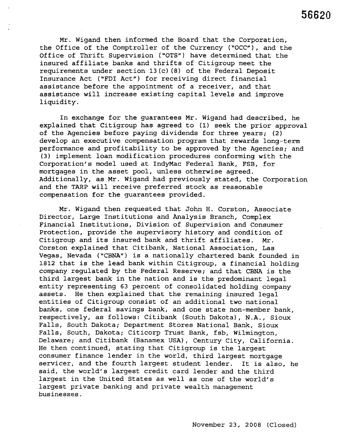Mr. Wigand then informed the Board that the Corporation, the Office of the Comptroller of the Currency ("OCC"), and the Office of Thrift Supervision ("OTS") have determined that the insured affiliate banks and thrifts of Citigroup meet the requirements under section 13 (c) (8) of the Federal Deposit Insurance Act ("FDI Act") for receiving direct financial assistance before the appointment of a receiver, and that assistance will increase existing capital levels and improve liquidity.

In exchange for the guarantees Mr. Wigand had described, he explained that Citigroup has agreed to (1) seek the prior approval of the Agencies before paying dividends for three years; (2) develop an executive compensation program that rewards long-term performance and profitability to be approved by the Agencies; and (3) implement loan modification procedures conforming with the Corporation's model used at IndyMac Federal Bank, FSB, for mortgages in the asset pool, unless otherwise agreed. Additionally, as Mr. Wigand had previously stated, the Corporation and the TARP will receive preferred stock as reasonable compensation for the guarantees provided.

Mr. Wigand then requested that John H. Corston, Associate Director, Large Institutions and Analysis Branch, Complex Financial Institutions, Division of Supervision and Consumer Protection, provide the supervisory history and condition of Citigroup and its insured bank and thrift affiliates. Mr. Corston explained that Citibank, National Association, Las Vegas, Nevada ("CBNA") is a nationally chartered bank founded in 1812 that is the lead bank within Citigroup, a financial holding company regulated by the Federal Reserve; and that CBNA is the third largest bank in the nation and is the predominant legal entity representing 63 percent of consolidated holding company assets. He then explained that the remaining insured legal entities of Citigroup consist of an additional two national banks, one federal savings bank, and one state non-member bank, respectively, as follows: Citibank (South Dakota), N.A., Sioux Falls, South Dakota; Department Stores National Bank, Sioux Falls, South, Dakota; Citicorp Trust Bank, fsb, Wilmington, Delaware; and Citibank (Banamex USA), Century City, California. He then continued, stating that Citigroup is the largest consumer finance lender in the world, third largest mortgage servicer, and the fourth largest student lender. It is also, he said, the world's largest credit card lender and the third largest in the United States as well as one of the world's largest private banking and private wealth management businesses.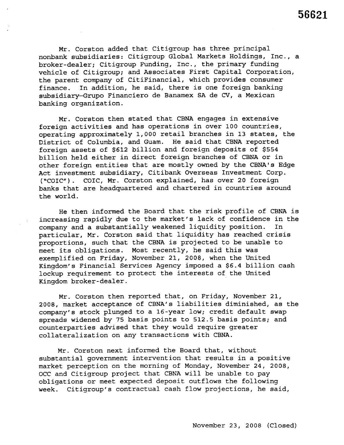Mr. Corston added that Citigroup has three principal nonbank subsidiaries: Citigroup Global Markets Holdings, Inc., a broker-dealer; Citigroup Funding, Inc., the primary funding vehicle of Citigroup; and Associates First Capital Corporation, the parent company of CitiFinancial, which provides consumer finance. In addition, he said, there is one foreign banking subsidiary-Grupo Financiero de Banamex SA de CV, a Mexican banking organization.

Mr. Corston then stated that CBNA engages in extensive foreign activities and has operations in over 100 countries, operating approximately 1,000 retail branches in 13 states, the District of Columbia, and Guam. He said that CBNA reported foreign assets of \$612 billion and foreign deposits of \$554 billion held either in direct foreign branches of CBNA or in other foreign entities that are mostly owned by the CBNA's Edge Act investment subsidiary, Citibank Overseas Investment Corp. ("COIC"). COIC, Mr. Corston explained, has over 20 foreign banks that are headquartered and chartered in countries around the world.

He then informed the Board that the risk profile of CBNA is increasing rapidly due to the market's lack of confidence in the company and a substantially weakened liquidity position. In particular, Mr. Corston said that liquidity has reached crisis proportions, such that the CBNA is projected to be unable to meet its obligations. Most recently, he said this was exemplified on Friday, November 21, 2008, when the United Kingdom's Financial Services Agency imposed a \$6.4 billion cash lockup requirement to protect the interests of the United Kingdom broker-dealer.

Mr. Corston then reported that, on Friday, November 21, 2008, market acceptance of CBNA's liabilities diminished, as the company's stock plunged to a 16-year low; credit default swap spreads widened by 75 basis points to 512.5 basis points; and counterparties advised that they would require greater collateralization on any transactions with CBNA.

Mr. Corston next informed the Board that, without substantial government intervention that results in a positive market perception on the morning of Monday, November 24, 2008, OCC and Citigroup project that CBNA will be unable to pay obligations or meet expected deposit outflows the following week. Citigroup's contractual cash flow projections, he said,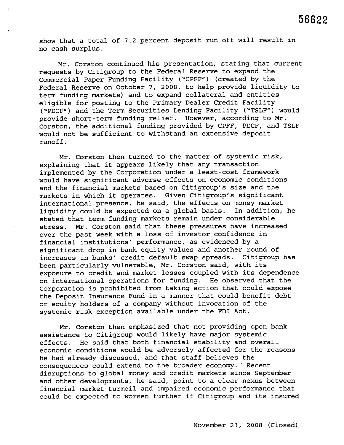show that a total of 7.2 percent deposit run off will result in no cash surplus.

Mr. Corston continued his presentation, stating that current requests by Citigroup to the Federal Reserve to expand the Commercial Paper Funding Facility ("CPFF") (created by the Federal Reserve on October 7,2008, to help provide liquidity to term funding markets) and to expand collateral and entities eligible for posting to the Primary Dealer Credit Facility ("PDCF") and the Term Securities Lending Facility ("TSLF") would provide short-term funding relief. However, according to Mr. Corston, the additional funding provided by CPFF, PDCF, and TSLF would not be sufficient to withstand an extensive deposit runoff.

Mr. Corston then turned to the matter of systemic risk, explaining that it appears likely that any transaction implemented by the Corporation under a least-cost framework would have significant adverse effects on economic conditions and the financial markets based on Citigroup's size and the markets in which it operates. Given Citigroup's significant international presence, he said, the effects on money market liquidity could be expected on a global basis. In addition, he stated that term funding markets remain under considerable stress. Mr. Corston said that these pressures have increased over the past week with a loss of investor confidence in financial institutions' performance, as evidenced by a significant drop in bank equity values and another round of increases in banks' credit default swap spreads. Citigroup has been particularly vulnerable, Mr. Corston said, with its exposure to credit and market losses coupled with its dependence on international operations for funding. He observed that the Corporation is prohibited from taking action that could expose the Deposit Insurance Fund in a manner that could benefit debt or equity holders of a company without invocation of the systemic risk exception available under the FDI Act.

Mr. Corston then emphasized that not providing open bank assistance to Citigroup would likely have major systemic effects. He said that both financial stability and overall economic conditions would be adversely affected for the reasons he had already discussed, and that staff believes the consequences could extend to the broader economy. Recent disruptions to global money and credit markets since September and other developments, he said, point to a clear nexus between financial market turmoil and impaired economic performance that could be expected to worsen further if Citigroup and its insured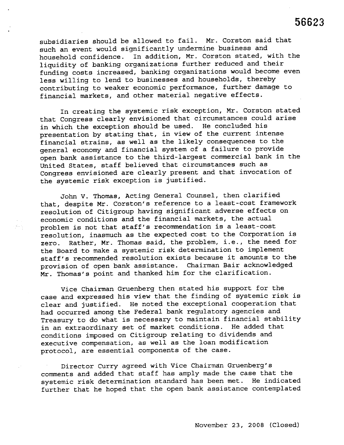subsidiaries should be allowed to fail. Mr. Corston said that such an event would significantly undermine business and household confidence. In addition, Mr. Corston stated, with the liquidity of banking organizations further reduced and their funding costs increased, banking organizations would become even less willing to lend to businesses and households, thereby contributing to weaker economic performance, further damage to financial markets, and other material negative effects.

In creating the systemic risk exception, Mr. Corston stated that Congress clearly envisioned that circumstances could arise in which the exception should be used. He concluded his presentation by stating that, in view of the current intense financial strains, as well as the likely consequences to the general economy and financial system of a failure to provide open bank assistance to the third-largest commercial bank in the United States, staff believed that circumstances such as Congress envisioned are clearly present and that invocation of the systemic risk exception is justified.

John V. Thomas, Acting General Counsel, then clarified that, despite Mr. Corston's reference to a least-cost framework resolution of Citigroup having significant adverse effects on economic conditions and the financial markets, the actual problem is not that staff's recommendation is a least-cost resolution, inasmuch as the expected cost to the Corporation is zero. Rather, Mr. Thomas said, the problem, i. e., the need for the Board to make a systemic risk determination to implement staff's recommended resolution exists because it amounts to the provision of open bank assistance. Chairman Bair acknowledged Mr. Thomas's point and thanked him for the clarification.

点点

Vice Chairman Gruenberg then stated his support for the case and expressed his view that the finding of systemic risk is clear and justified. He noted the exceptional cooperation that had occurred among the Federal bank regulatory agencies and Treasury to do what is necessary to maintain financial stability in an extraordinary set of market conditions. He added that conditions imposed on Citigroup relating to dividends and executive compensation, as well as the loan modification protocol, are essential components of the case.

Director Curry agreed with Vice Chairman Gruenberg's comments and added that staff has amply made the case that the systemic risk determination standard has been met. He indicated further that he hoped that the open bank assistance contemplated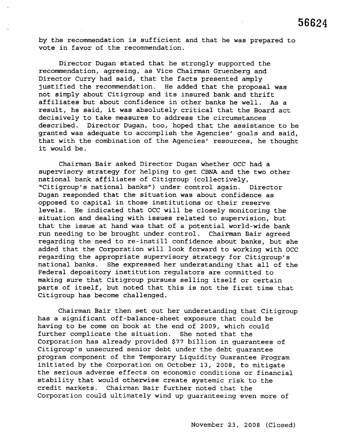by the recommendation is sufficient and that he was prepared to vote in favor of the recommendation.

Director Dugan stated that he strongly supported the recommendation, agreeing, as Vice Chairman Gruenberg and Director Curry had said, that the facts presented amply justified the recommendation. He added that the proposal was not simply about Citigroup and its insured bank and thrift affiliates but about confidence in other banks he well. As a result, he said, it was absolutely critical that the Board act decisively to take measures to address the circumstances described. Director Dugan, too, hoped that the assistance to be granted was adequate to accomplish the Agencies' goals and said, that with the combination of the Agencies' resources, he thought it would be.

Chairman Bair asked Director Dugan whether OCC had a supervisory strategy for helping to get CBNA and the two other national bank affiliates of Citigroup (collectively, "Citigroup's national banks") under control again. Director Dugan responded that the situation was about confidence as opposed to capital in those institutions or their reserve levels. He indicated that OCC will be closely monitoring the situation and dealing with issues related to supervision, but that the issue at hand was that of a potential world-wide bank run needing to be brought under control. Chairman Bair agreed regarding the need to re-instill confidence about banks, but she added that the Corporation will look forward to working with OCC regarding the appropriate supervisory strategy for Citigroup's national banks. She expressed her understanding that all of the Federal depository institution regulators are committed to making sure that Citigroup pursues selling itself or certain parts of itself, but noted that this is not the first time that Citigroup has become challenged.

Chairman Bair then set out her understanding that Citigroup has a significant off-balance-sheet exposure that could be having to be come on book at the end of 2009, which could further complicate the situation. She noted that the Corporation has already provided \$77 billion in guarantees of Citigroup's unsecured senior debt under the debt quarantee program component of the Temporary Liquidity Guarantee Program initiated by the Corporation on October 13, 2008, to mitigate the serious adverse effects on economic conditions or financial stability that would otherwise create systemic risk to the credit markets. Chairman Bair further noted that the Corporation could ultimately wind up guaranteeing even more of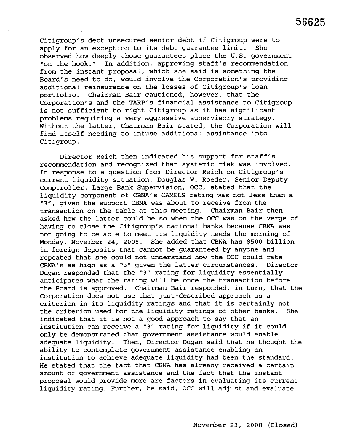Citigroup's debt unsecured senior debt if Citigroup were to apply for an exception to its debt guarantee limit. She observed how deeply those guarantees place the U. S. government "on the hook." In addition, approving staff's recommendation from the instant proposal, which she said is something the Board's need to do, would involve the Corporation's providing additional reinsurance on the losses of Citigroup's loan portfolio. Chairman Bair cautioned, however, that the Corporation's and the TARP's financial assistance to Citigroup is not sufficient to right Citigroup as it has significant problems requiring a very aggressive supervisory strategy. Without the latter, Chairman Bair stated, the Corporation will find itself needing to infuse additional assistance into Citigroup.

Director Reich then indicated his support for staff's recommendation and recognized that systemic risk was involved. In response to a question from Director Reich on Citigroup's current liquidity situation, Douglas W. Roeder, Senior Deputy Comptroller, Large Bank Supervision, OCC, stated that the liquidity component of CBNA's CAMELS rating was not less than a "3", given the support CBNA was about to receive from the transaction on the table at this meeting. Chairman Bair then asked how the latter could be so when the OCC was on the verge of having to close the Citigroup's national banks because CBNA was not going to be able to meet its liquidity needs the morning of Monday, November 24, 2008. She added that CBNA has \$500 billion in foreign deposits that cannot be guaranteed by anyone and repeated that she could not understand how the OCC could rate CBNA's as high as a "3" given the latter circumstances. Director Dugan responded that the "3" rating for liquidity essentially anticipates what the rating will be once the transaction before the Board is approved. Chairman Bair responded, in turn, that the Corporation does not use that just-described approach as a criterion in its liquidity ratings and that it is certainly not the criterion used for the liquidity ratings of other banks. She indicated that it is not a good approach to say that an institution can receive a "3" rating for liquidity if it could only be demonstrated that government assistance would enable adequate liquidity. Then, Director Dugan said that he thought the ability to contemplate government assistance enabling an institution to achieve adequate liquidity had been the standard. He stated that the fact that CBNA has already received a certain amount of government assistance and the fact that the instant proposal would provide more are factors in evaluating its current liquidity rating. Further, he said, OCC will adjust and evaluate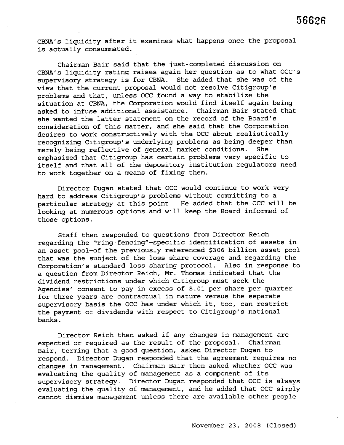CBNA's liquidity after it examines what happens once the proposal is actually consummated.

Chairman Bair said that the just-completed discussion on CBNA's liquidity rating raises again her question as to what OCC's supervisory strategy is for CBNA. She added that she was of the view that the current proposal would not resolve Citigroup's problems and that, unless OCC found a way to stabilize the situation at CBNA, the Corporation would find itself again being asked to infuse additional assistance. Chairman Bair stated that she wanted the latter statement on the record of the Board's consideration of this matter, and she said that the Corporation desires to work constructively with the OCC about realistically recognizing Citigroup's underlying problems as being deeper than<br>merely being reflective of general market conditions. She merely being reflective of general market conditions. emphasized that Citigroup has certain problems very specific to itself and that all of the depository institution regulators need to work together on a means of fixing them.

Director Dugan stated that OCC would continue to work very hard to address Citigroup's problems without committing to a particular strategy at this point. He added that the OCC will be looking at numerous options and will keep the Board informed of those options.

Staff then responded to questions from Director Reich regarding the "ring-fencing"-specific identification of assets in an asset pool-of the previously referenced \$306 billion asset pool that was the subject of the loss share coverage and regarding the Corporation's standard loss sharing protocol. Also in response to a question from Director Reich, Mr. Thomas indicated that the dividend restrictions under which Citigroup must seek the Agencies' consent to pay in excess of \$.01 per share per quarter for three years are contractual in nature versus the separate supervisory basis the OCC has under which it, too, can restrict the payment of dividends with respect to Citigroup's national banks.

Director Reich then asked if any changes in management are expected or required as the result of the proposal. Chairman Bair, terming that a good question, asked Director Dugan to respond. Director Dugan responded that the agreement requires no changes in management. Chairman Bair then asked whether OCC was evaluating the quality of management as a component of its supervisory strategy. Director Dugan responded that OCC is always evaluating the quality of management, and he added that OCC simply cannot dismiss management unless there are available other people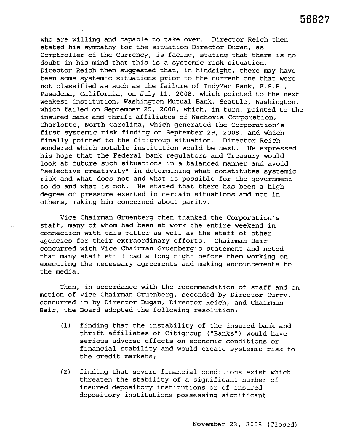who are willing and capable to take over. Director Reich then stated his symathy for the situation Director Dugan, as Comptroller of the Currency, is facing, stating that there is no doubt in his mind that this is a systemic risk situation. Director Reich then suggested that, in hindsight, there may have been some systemic situations prior to the current one that were not classified as such as the failure of IndyMac Bank, F.S.B., Pasadena, California, on July 11, 2008, which pointed to the next weakest institution, Washington Mutual Bank, Seattle, Washington, which failed on September 2S, 2008, which, in turn, pointed to the insured bank and thrift affiliates of Wachovia Corporation, Charlotte, North Carolina, which generated the Corporation's first systemic risk finding on September 29, 2008, and which finally pointed to the Citigroup situation. Director Reich wondered which notable institution would be next. He expressed his hope that the Federal bank regulators and Treasury would look at future such situations in a balanced manner and avoid "selective creativity" in determining what constitutes systemic risk and what does not and what is possible for the government to do and what is not. He stated that there has been a high degree of pressure exerted in certain situations and not in others, making him concerned about parity.

Vice Chairman Gruenberg then thanked the Corporation's staff, many of whom had been at work the entire weekend in connection with this matter as well as the staff of other agencies for their extraordinary efforts. Chairman Bair concurred with Vice Chairman Gruenberg's statement and noted that many staff still had a long night before them working on executing the necessary agreements and making announcements to the media.

Then, in accordance with the recommendation of staff and on motion of Vice Chairman Gruenberg, seconded by Director Curry, concurred in by Director Dugan, Director Reich, and Chairman Bair, the Board adopted the following resolution:

- (1) finding that the instability of the insured bank and thrift affiliates of Citigroup ("Banks") would have serious adverse effects on economic conditions or financial stability and would create systemic risk to the credit markets;
- (2) finding that severe financial conditions exist which threaten the stability of a significant number of insured depository institutions or of insured depository institutions possessing significant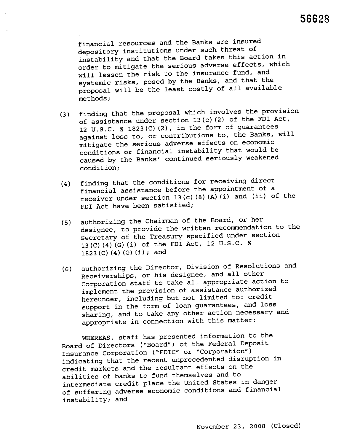financial resources and the Banks are insured depository institutions under such threat of instability and that the Board takes this action in order to mitigate the serious adverse effects, which will lessen the risk to the insurance fund, and systemic risks, posed by the Banks, and that the proposal will be the least costly of all available methods;

- (3) finding that the proposal which involves the provision of assistance under section 13 (c) (2) of the FDI Act, 12 U.S.C. § 1823 (C) (2), in the form of guarantees against loss to, or contributions to, the Banks, will mitigate the serious adverse effects on economic conditions or financial instability that would be caused by the Banks' continued seriously weakened condition;
- (4) finding that the conditions for receiving direct financial assistance before the appointment of a receiver under section  $13(c)$  (8) (A) (i) and (ii) of the FDI Act have been satisfied;
- (5) authorizing the Chairman of the Board, or her designee, to provide the written recommendation to the Secretary of the Treasury specified under section 13 (C) (4) (G) (i) of the FDI Act, 12 U.S.C. §  $1823$  (C) (4) (G) (i); and
- (6) authorizing the Director, Division of Resolutions and Receiverships, or his designee, and all other Corporation staff to take all appropriate action to implement the provision of assistance authorized hereunder, including but not limited to: credit support in the form of loan guarantees, and loss sharing, and to take any other action necessary and appropriate in connection with this matter:

WHEREAS, staff has presented information to the Board of Directors ("Board") of the Federal Deposit Insurance Corporation ("FDIC" or "Corporation") indicating that the recent unprecedented disruption in credit markets and the resultant effects on the abilities of banks to fund themselves and to intermediate credit place the United States in danger of suffering adverse economic conditions and financial instability; and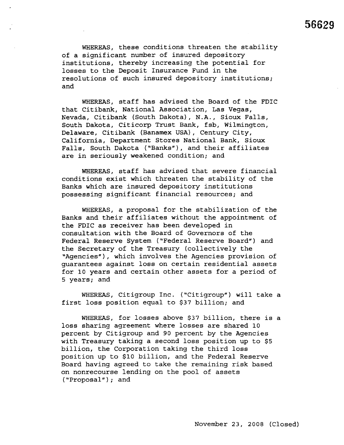WHEREAS, these conditions threaten the stability of a significant number of insured depository institutions, thereby increasing the potential for losses to the Deposit Insurance Fund in the resolutions of such insured depository institutions; and

WHEREAS, staff has advised the Board of the FDIC that Citibank, National Association, Las Vegas, Nevada, Citibank (South Dakota), N.A., Sioux Falls, South Dakota, Citicorp Trust Bank, fsb, Wilmington, Delaware, Citibank (Banamex USA), Century City, California, Department Stores National Bank, Sioux Falls, South Dakota ("Banks"), and their affiliates are in seriously weakened condition; and

WHEREAS, staff has advised that severe financial conditions exist which threaten the stability of the Banks which are insured depository institutions possessing significant financial resources; and

WHEREAS, a proposal for the stabilization of the Banks and their affiliates without the appointment of the FDIC as receiver has been developed in consultation with the Board of Governors of the Federal Reserve System ("Federal Reserve Board") and the Secretary of the Treasury (collectively the "Agencies"), which involves the Agencies provision of guarantees against loss on certain residential assets for 10 years and certain other assets for a period of 5 years; and

WHEREAS, Citigroup Inc. ("Citigroup") will take a first loss position equal to \$37 billion; and

WHEREAS, for losses above \$37 billion, there is a loss sharing agreement where losses are shared 10 percent by Citigroup and 90 percent by the Agencies with Treasury taking a second loss position up to \$5 billion, the Corporation taking the third loss position up to \$10 billion, and the Federal Reserve Board having agreed to take the remaining risk based on nonrecourse lending on the pool of assets ("Proposal"); and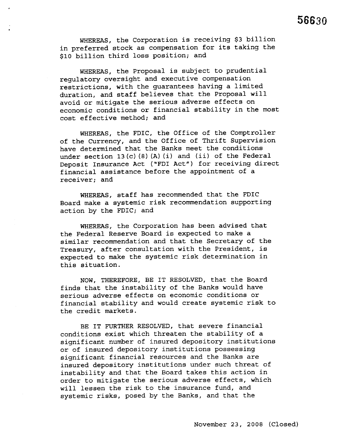WHEREAS, the Corporation is receiving \$3 billion in preferred stock as compensation for its taking the \$10 billion third loss position; and

WHEREAS, the Proposal is subject to prudential regulatory oversight and executive compensation restrictions, with the guarantees having a limited duration, and staff believes that the Proposal will avoid or mitigate the serious adverse effects on economic conditions or financial stability in the most cost effective method; and

WHEREAS, the FDIC, the Office of the Comptroller of the Currency, and the Office of Thrift Supervision have determined that the Banks meet the conditions under section  $13(c)$  (8) (A) (i) and (ii) of the Federal Deposit Insurance Act ("FDI Act") for receiving direct financial assistance before the appointment of a receiver; and

WHEREAS, staff has recommended that the FDIC Board make a systemic risk recommendation supporting action by the FDIC; and

WHEREAS, the Corporation has been advised that the Federal Reserve Board is expected to make a similar recommendation and that the Secretary of the Treasury, after consultation with the President, is expected to make the systemic risk determination in this situation.

NOW, THEREFORE, BE IT RESOLVED, that the Board finds that the instability of the Banks would have serious adverse effects on economic conditions or financial stability and would create systemic risk to the credit markets.

BE IT FURTHER RESOLVED, that severe financial conditions exist which threaten the stability of a significant number of insured depository institutions or of insured depository institutions possessing significant financial resources and the Banks are insured depository institutions under such threat of instability and that the Board takes this action in order to mitigate the serious adverse effects, which will lessen the risk to the insurance fund, and systemic risks, posed by the Banks, and that the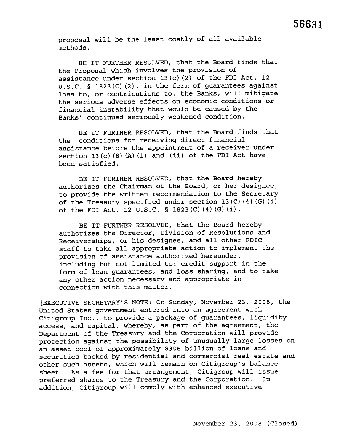proposal will be the least costly of all available methods.

BE IT FURTHER RESOLVED, that the Board finds that the Proposal which involves the provision of assistance under section 13 (c) (2) of the FDI Act, 12 U. S. C. § 1823 (C) (2), in the form of guarantees against loss to, or contributions to, the Banks, will mitigate the serious adverse effects on economic conditions or financial instability that would be caused by the Banks' continued seriously weakened condition.

BE IT FURTHER RESOLVED, that the Board finds that the conditions for receiving direct financial assistance before the appointment of a receiver under section 13 $(c)$   $(8)$   $(A)$   $(i)$  and  $(ii)$  of the FDI Act have been satisfied.

BE IT FURTHER RESOLVED, that the Board hereby authorizes the Chairman of the Board, or her designee, to provide the written recommendation to the Secretary of the Treasury specified under section 13 (C) (4) (G) (i) of the FDI Act, 12 U.S.C. § 1823 (C) (4) (G) (i).

BE IT FURTHER RESOLVED, that the Board hereby authorizes the Director, Division of Resolutions and Receiverships, or his designee, and all other FDIC staff to take all appropriate action to implement the provision of assistance authorized hereunder, including but not limited to: credit support in the form of loan guarantees, and loss sharing, and to take any other action necessary and appropriate in connection with this matter.

(EXECUTIVE SECRETARY'S NOTE: On Sunday, November 23, 2008, the United States government entered into an agreement with Citigroup Inc., to provide a package of guarantees, liquidity access, and capital, whereby, as part of the agreement, the Department of the Treasury and the Corporation will provide protection against the possibility of unusually large losses on an asset pool of approximately \$306 billion of loans and securities backed by residential and commercial real estate and other such assets, which will remain on Citigroup's balance sheet. As a fee for that arrangement, Citigroup will issue preferred shares to the Treasury and the Corporation. In addition, Citigroup will comply with enhanced executive